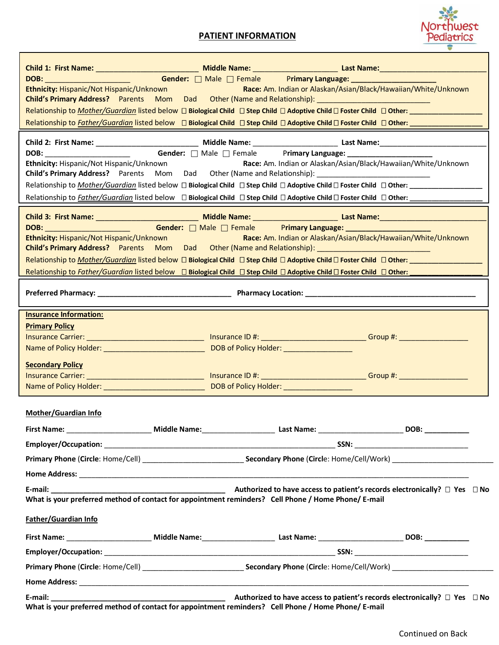## **PATIENT INFORMATION**



| Child 1: First Name: ____________________________ Middle Name: _________________________Last Name: _________________                                                                                                           |                                                                |
|--------------------------------------------------------------------------------------------------------------------------------------------------------------------------------------------------------------------------------|----------------------------------------------------------------|
|                                                                                                                                                                                                                                |                                                                |
| Ethnicity: Hispanic/Not Hispanic/Unknown                                                                                                                                                                                       | Race: Am. Indian or Alaskan/Asian/Black/Hawaiian/White/Unknown |
| Child's Primary Address? Parents Mom Dad Other (Name and Relationship): [14] December 2014                                                                                                                                     |                                                                |
|                                                                                                                                                                                                                                |                                                                |
|                                                                                                                                                                                                                                |                                                                |
|                                                                                                                                                                                                                                |                                                                |
| Ethnicity: Hispanic/Not Hispanic/Unknown                                                                                                                                                                                       | Race: Am. Indian or Alaskan/Asian/Black/Hawaiian/White/Unknown |
| Child's Primary Address? Parents Mom Dad Other (Name and Relationship): ____________________________                                                                                                                           |                                                                |
|                                                                                                                                                                                                                                |                                                                |
|                                                                                                                                                                                                                                |                                                                |
|                                                                                                                                                                                                                                |                                                                |
| DOB: Gender: □ Male □ Female Primary Language: _____________                                                                                                                                                                   |                                                                |
| Ethnicity: Hispanic/Not Hispanic/Unknown Race: Am. Indian or Alaskan/Asian/Black/Hawaiian/White/Unknown                                                                                                                        |                                                                |
| Child's Primary Address? Parents Mom Dad Other (Name and Relationship): [14] Child's Primary Address? Parents Mom Dad Other (Name and Relationship):                                                                           |                                                                |
|                                                                                                                                                                                                                                |                                                                |
| Relationship to Father/Guardian listed below □ Biological Child □ Step Child □ Adoptive Child □ Foster Child □ Other: ___________                                                                                              |                                                                |
|                                                                                                                                                                                                                                |                                                                |
| <b>Insurance Information:</b>                                                                                                                                                                                                  |                                                                |
| <b>Primary Policy</b>                                                                                                                                                                                                          |                                                                |
| <u>Insurance Carrier: ____________________________</u> Insurance ID #: ___________________________Group #: _______________                                                                                                     |                                                                |
|                                                                                                                                                                                                                                |                                                                |
| <b>Secondary Policy</b>                                                                                                                                                                                                        |                                                                |
| Insurance Carrier: ___________________________________ Insurance ID #: __________________________________Group #: _____________________                                                                                        |                                                                |
|                                                                                                                                                                                                                                |                                                                |
|                                                                                                                                                                                                                                |                                                                |
| <b>Mother/Guardian Info</b>                                                                                                                                                                                                    |                                                                |
| First Name: Campbell and Model Mame: Cass Mame: Cass Name: Cass Name: Cass Name: Cass Name: Cass Name: Cass Name: Cass Name: Cass Name: Cass Name: Cass Name: Cass Name: Cass Name: Cass Name: Cass Name: Cass Name: Cass Name |                                                                |
|                                                                                                                                                                                                                                |                                                                |
| Primary Phone (Circle: Home/Cell) _________________________________Secondary Phone (Circle: Home/Cell/Work) ___________________________                                                                                        |                                                                |
|                                                                                                                                                                                                                                |                                                                |
|                                                                                                                                                                                                                                |                                                                |
| What is your preferred method of contact for appointment reminders? Cell Phone / Home Phone/ E-mail                                                                                                                            |                                                                |
|                                                                                                                                                                                                                                |                                                                |
| Father/Guardian Info                                                                                                                                                                                                           |                                                                |
|                                                                                                                                                                                                                                |                                                                |
|                                                                                                                                                                                                                                |                                                                |
|                                                                                                                                                                                                                                |                                                                |
|                                                                                                                                                                                                                                |                                                                |
|                                                                                                                                                                                                                                |                                                                |
| What is your preferred method of contact for appointment reminders? Cell Phone / Home Phone/ E-mail                                                                                                                            |                                                                |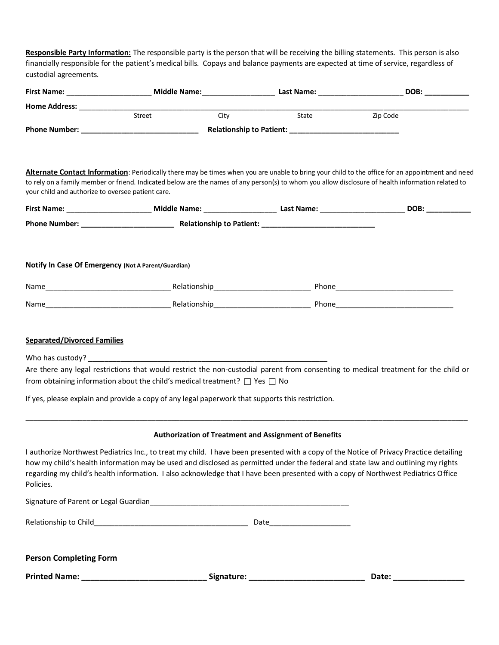**Responsible Party Information:** The responsible party is the person that will be receiving the billing statements. This person is also financially responsible for the patient's medical bills. Copays and balance payments are expected at time of service, regardless of custodial agreements.

|                                                     |                                                                                                                                                                                          |      |                                                       | DOB:                                                                                                                                                                                                                                                                                                                                                                                                             |
|-----------------------------------------------------|------------------------------------------------------------------------------------------------------------------------------------------------------------------------------------------|------|-------------------------------------------------------|------------------------------------------------------------------------------------------------------------------------------------------------------------------------------------------------------------------------------------------------------------------------------------------------------------------------------------------------------------------------------------------------------------------|
|                                                     |                                                                                                                                                                                          |      |                                                       |                                                                                                                                                                                                                                                                                                                                                                                                                  |
|                                                     | Street                                                                                                                                                                                   | City | State                                                 | Zip Code                                                                                                                                                                                                                                                                                                                                                                                                         |
|                                                     |                                                                                                                                                                                          |      |                                                       |                                                                                                                                                                                                                                                                                                                                                                                                                  |
| your child and authorize to oversee patient care.   |                                                                                                                                                                                          |      |                                                       | Alternate Contact Information: Periodically there may be times when you are unable to bring your child to the office for an appointment and need<br>to rely on a family member or friend. Indicated below are the names of any person(s) to whom you allow disclosure of health information related to                                                                                                           |
|                                                     |                                                                                                                                                                                          |      |                                                       |                                                                                                                                                                                                                                                                                                                                                                                                                  |
|                                                     |                                                                                                                                                                                          |      |                                                       |                                                                                                                                                                                                                                                                                                                                                                                                                  |
| Notify In Case Of Emergency (Not A Parent/Guardian) |                                                                                                                                                                                          |      |                                                       |                                                                                                                                                                                                                                                                                                                                                                                                                  |
|                                                     |                                                                                                                                                                                          |      |                                                       |                                                                                                                                                                                                                                                                                                                                                                                                                  |
|                                                     |                                                                                                                                                                                          |      |                                                       |                                                                                                                                                                                                                                                                                                                                                                                                                  |
|                                                     | from obtaining information about the child's medical treatment? $\Box$ Yes $\Box$ No<br>If yes, please explain and provide a copy of any legal paperwork that supports this restriction. |      |                                                       | Are there any legal restrictions that would restrict the non-custodial parent from consenting to medical treatment for the child or                                                                                                                                                                                                                                                                              |
|                                                     |                                                                                                                                                                                          |      | Authorization of Treatment and Assignment of Benefits |                                                                                                                                                                                                                                                                                                                                                                                                                  |
| Policies.                                           |                                                                                                                                                                                          |      |                                                       | I authorize Northwest Pediatrics Inc., to treat my child. I have been presented with a copy of the Notice of Privacy Practice detailing<br>how my child's health information may be used and disclosed as permitted under the federal and state law and outlining my rights<br>regarding my child's health information. I also acknowledge that I have been presented with a copy of Northwest Pediatrics Office |
|                                                     |                                                                                                                                                                                          |      |                                                       |                                                                                                                                                                                                                                                                                                                                                                                                                  |
|                                                     |                                                                                                                                                                                          |      |                                                       |                                                                                                                                                                                                                                                                                                                                                                                                                  |
| <b>Person Completing Form</b>                       |                                                                                                                                                                                          |      |                                                       |                                                                                                                                                                                                                                                                                                                                                                                                                  |
|                                                     |                                                                                                                                                                                          |      |                                                       | Date: __________________                                                                                                                                                                                                                                                                                                                                                                                         |
|                                                     |                                                                                                                                                                                          |      |                                                       |                                                                                                                                                                                                                                                                                                                                                                                                                  |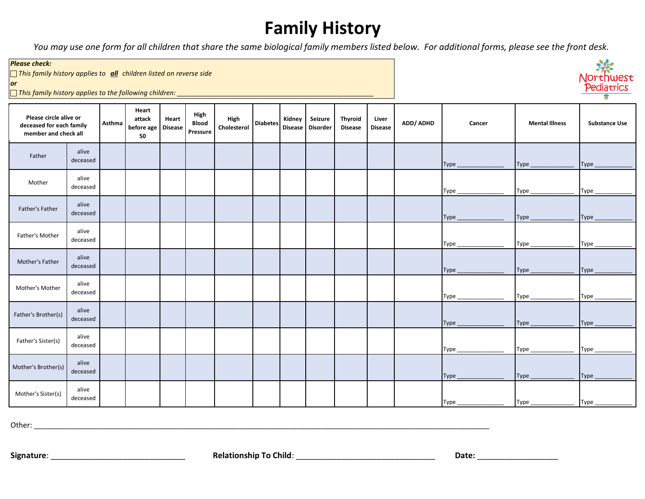## **Family History**

*You may use one form for all children that share the same biological family members listed below. For additional forms, please see the front desk.*

## *Please check:*

c *This family history applies to all children listed on reverse side*

*or*

c *This family history applies to the following children: \_\_\_\_\_\_\_\_\_\_\_\_\_\_\_\_\_\_\_\_\_\_\_\_\_\_\_\_\_\_\_\_\_\_\_\_\_\_\_\_\_\_\_\_\_\_\_\_\_\_\_\_\_*

| Please circle alive or<br>deceased for each family<br>member and check all |                   | Asthma | Heart<br>attack<br>before age Disease<br>50 | Heart | High<br><b>Blood</b><br>Pressure | High<br>Cholesterol | <b>Diabetes</b> | Kidney | Seizure<br>Disease Disorder | Thyroid<br><b>Disease</b> | Liver<br><b>Disease</b> | ADD/ ADHD | Cancer | <b>Mental Illness</b> | <b>Substance Use</b> |
|----------------------------------------------------------------------------|-------------------|--------|---------------------------------------------|-------|----------------------------------|---------------------|-----------------|--------|-----------------------------|---------------------------|-------------------------|-----------|--------|-----------------------|----------------------|
| Father                                                                     | alive<br>deceased |        |                                             |       |                                  |                     |                 |        |                             |                           |                         |           | Type   | $Type_$               | Type_                |
| Mother                                                                     | alive<br>deceased |        |                                             |       |                                  |                     |                 |        |                             |                           |                         |           | Type_  | $Type_$               | Type_                |
| Father's Father                                                            | alive<br>deceased |        |                                             |       |                                  |                     |                 |        |                             |                           |                         |           | Type   | $Type_$               | Type                 |
| Father's Mother                                                            | alive<br>deceased |        |                                             |       |                                  |                     |                 |        |                             |                           |                         |           | Type_  | $Type_$               | Type                 |
| Mother's Father                                                            | alive<br>deceased |        |                                             |       |                                  |                     |                 |        |                             |                           |                         |           | Type   | Type_                 | Type                 |
| Mother's Mother                                                            | alive<br>deceased |        |                                             |       |                                  |                     |                 |        |                             |                           |                         |           | Type_  | Type $_{-}$           | Type                 |
| Father's Brother(s)                                                        | alive<br>deceased |        |                                             |       |                                  |                     |                 |        |                             |                           |                         |           | Type_  | Type $_{-}$           | Type                 |
| Father's Sister(s)                                                         | alive<br>deceased |        |                                             |       |                                  |                     |                 |        |                             |                           |                         |           | Type_  | Type_                 | Type_                |
| Mother's Brother(s)                                                        | alive<br>deceased |        |                                             |       |                                  |                     |                 |        |                             |                           |                         |           | Type_  | Type_                 | Type_                |
| Mother's Sister(s)                                                         | alive<br>deceased |        |                                             |       |                                  |                     |                 |        |                             |                           |                         |           | Type_  | Type_                 | Type                 |

Other: \_\_\_\_\_\_\_\_\_\_\_\_\_\_\_\_\_\_\_\_\_\_\_\_\_\_\_\_\_\_\_\_\_\_\_\_\_\_\_\_\_\_\_\_\_\_\_\_\_\_\_\_\_\_\_\_\_\_\_\_\_\_\_\_\_\_\_\_\_\_\_\_\_\_\_\_\_\_\_\_\_\_\_\_\_\_\_\_\_\_\_\_\_\_\_\_\_\_\_\_\_\_\_\_\_\_\_\_\_\_\_

North